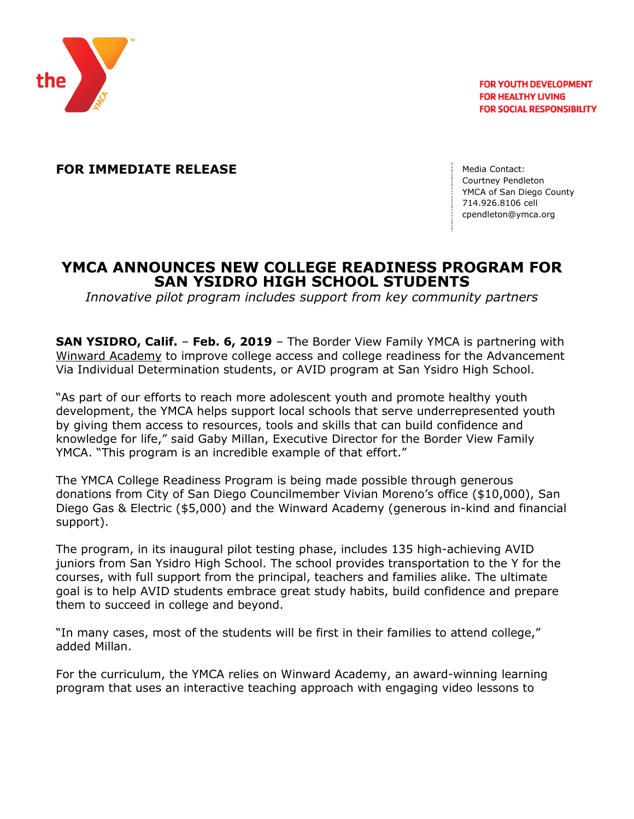

**FOR YOUTH DEVELOPMENT FOR HEALTHY LIVING FOR SOCIAL RESPONSIBILITY** 

**FOR IMMEDIATE RELEASE Media Contact:** Media Contact:

Courtney Pendleton YMCA of San Diego County 714.926.8106 cell [cpendleton@ymca.org](mailto:cpendleton@ymca.org)

## **YMCA ANNOUNCES NEW COLLEGE READINESS PROGRAM FOR SAN YSIDRO HIGH SCHOOL STUDENTS**

*Innovative pilot program includes support from key community partners*

**SAN YSIDRO, Calif.** – **Feb. 6, 2019** – The Border View Family YMCA is partnering with [Winward Academy](http://winwardacademy.com/) to improve college access and college readiness for the Advancement Via Individual Determination students, or AVID program at San Ysidro High School.

"As part of our efforts to reach more adolescent youth and promote healthy youth development, the YMCA helps support local schools that serve underrepresented youth by giving them access to resources, tools and skills that can build confidence and knowledge for life," said Gaby Millan, Executive Director for the Border View Family YMCA. "This program is an incredible example of that effort."

The YMCA College Readiness Program is being made possible through generous donations from City of San Diego Councilmember Vivian Moreno's office (\$10,000), San Diego Gas & Electric (\$5,000) and the Winward Academy (generous in-kind and financial support).

The program, in its inaugural pilot testing phase, includes 135 high-achieving AVID juniors from San Ysidro High School. The school provides transportation to the Y for the courses, with full support from the principal, teachers and families alike. The ultimate goal is to help AVID students embrace great study habits, build confidence and prepare them to succeed in college and beyond.

"In many cases, most of the students will be first in their families to attend college," added Millan.

For the curriculum, the YMCA relies on Winward Academy, an award-winning learning program that uses an interactive teaching approach with engaging video lessons to